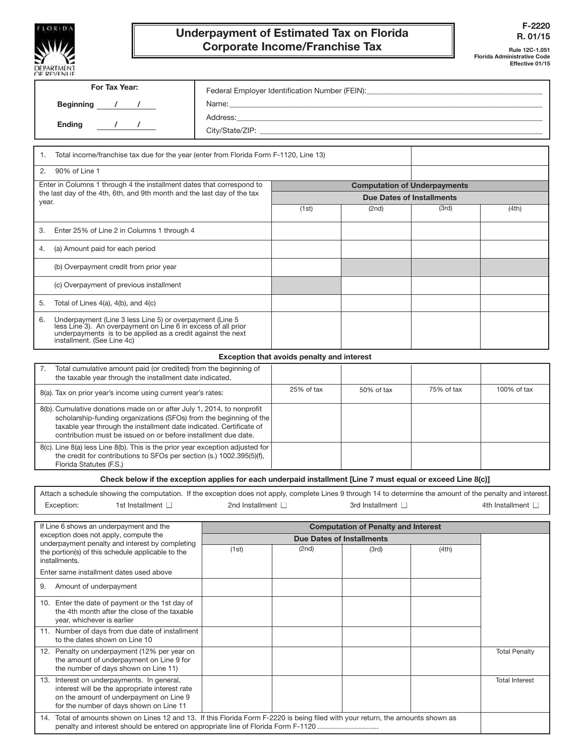

## Underpayment of Estimated Tax on Florida Corporate Income/Franchise Tax

Rule 12C-1.051 Florida Administrative Code Effective 01/15

| For Tax Year:                                                                                                                                                                                                                                                                         |                                                                                  |                                            |                                            |            |                        |
|---------------------------------------------------------------------------------------------------------------------------------------------------------------------------------------------------------------------------------------------------------------------------------------|----------------------------------------------------------------------------------|--------------------------------------------|--------------------------------------------|------------|------------------------|
| Beginning $\frac{1}{2}$ /                                                                                                                                                                                                                                                             | Federal Employer Identification Number (FEIN): _________________________________ |                                            |                                            |            |                        |
|                                                                                                                                                                                                                                                                                       |                                                                                  |                                            |                                            |            |                        |
| $\frac{1}{2}$ $\frac{1}{2}$ $\frac{1}{2}$<br><b>Ending</b>                                                                                                                                                                                                                            |                                                                                  |                                            |                                            |            |                        |
|                                                                                                                                                                                                                                                                                       |                                                                                  |                                            |                                            |            |                        |
| Total income/franchise tax due for the year (enter from Florida Form F-1120, Line 13)<br>1.                                                                                                                                                                                           |                                                                                  |                                            |                                            |            |                        |
| 90% of Line 1<br>2.                                                                                                                                                                                                                                                                   |                                                                                  |                                            |                                            |            |                        |
| Enter in Columns 1 through 4 the installment dates that correspond to<br>the last day of the 4th, 6th, and 9th month and the last day of the tax<br>year.                                                                                                                             |                                                                                  | <b>Computation of Underpayments</b>        |                                            |            |                        |
|                                                                                                                                                                                                                                                                                       |                                                                                  | <b>Due Dates of Installments</b>           |                                            |            |                        |
|                                                                                                                                                                                                                                                                                       |                                                                                  | (1st)                                      | (2nd)                                      | (3rd)      | (4th)                  |
| Enter 25% of Line 2 in Columns 1 through 4<br>3.                                                                                                                                                                                                                                      |                                                                                  |                                            |                                            |            |                        |
| (a) Amount paid for each period<br>4.                                                                                                                                                                                                                                                 |                                                                                  |                                            |                                            |            |                        |
| (b) Overpayment credit from prior year                                                                                                                                                                                                                                                |                                                                                  |                                            |                                            |            |                        |
| (c) Overpayment of previous installment                                                                                                                                                                                                                                               |                                                                                  |                                            |                                            |            |                        |
| Total of Lines 4(a), 4(b), and 4(c)<br>5.                                                                                                                                                                                                                                             |                                                                                  |                                            |                                            |            |                        |
| Underpayment (Line 3 less Line 5) or overpayment (Line 5<br>6.<br>less Line 3). An overpayment on Line 6 in excess of all prior<br>underpayments is to be applied as a credit against the next<br>installment. (See Line 4c)                                                          |                                                                                  |                                            |                                            |            |                        |
|                                                                                                                                                                                                                                                                                       |                                                                                  | Exception that avoids penalty and interest |                                            |            |                        |
| Total cumulative amount paid (or credited) from the beginning of<br>7.<br>the taxable year through the installment date indicated.                                                                                                                                                    |                                                                                  |                                            |                                            |            |                        |
| 8(a). Tax on prior year's income using current year's rates:                                                                                                                                                                                                                          |                                                                                  | 25% of tax                                 | 50% of tax                                 | 75% of tax | 100% of tax            |
| 8(b). Cumulative donations made on or after July 1, 2014, to nonprofit<br>scholarship-funding organizations (SFOs) from the beginning of the<br>taxable year through the installment date indicated. Certificate of<br>contribution must be issued on or before installment due date. |                                                                                  |                                            |                                            |            |                        |
| 8(c). Line 8(a) less Line 8(b). This is the prior year exception adjusted for<br>the credit for contributions to SFOs per section (s.) 1002.395(5)(f),<br>Florida Statutes (F.S.)                                                                                                     |                                                                                  |                                            |                                            |            |                        |
| Check below if the exception applies for each underpaid installment [Line 7 must equal or exceed Line 8(c)]                                                                                                                                                                           |                                                                                  |                                            |                                            |            |                        |
| Attach a schedule showing the computation. If the exception does not apply, complete Lines 9 through 14 to determine the amount of the penalty and interest.                                                                                                                          |                                                                                  |                                            |                                            |            |                        |
| Exception:<br>1st Installment $\Box$                                                                                                                                                                                                                                                  | 2nd Installment $\Box$                                                           |                                            | 3rd Installment $\Box$                     |            | 4th Installment $\Box$ |
| If Line 6 shows an underpayment and the                                                                                                                                                                                                                                               |                                                                                  |                                            | <b>Computation of Penalty and Interest</b> |            |                        |
| exception does not apply, compute the                                                                                                                                                                                                                                                 |                                                                                  | <b>Due Dates of Installments</b>           |                                            |            |                        |
| underpayment penalty and interest by completing<br>the portion(s) of this schedule applicable to the                                                                                                                                                                                  | (1st)                                                                            | (2nd)                                      | (3rd)                                      | (4th)      |                        |
| installments.                                                                                                                                                                                                                                                                         |                                                                                  |                                            |                                            |            |                        |
| Enter same installment dates used above                                                                                                                                                                                                                                               |                                                                                  |                                            |                                            |            |                        |
| 9.<br>Amount of underpayment                                                                                                                                                                                                                                                          |                                                                                  |                                            |                                            |            |                        |
| 10. Enter the date of payment or the 1st day of<br>the 4th month after the close of the taxable<br>vear, whichever is earlier                                                                                                                                                         |                                                                                  |                                            |                                            |            |                        |
| 11. Number of days from due date of installment<br>to the dates shown on Line 10                                                                                                                                                                                                      |                                                                                  |                                            |                                            |            |                        |
| 12. Penalty on underpayment (12% per year on<br>the amount of underpayment on Line 9 for<br>the number of days shown on Line 11)                                                                                                                                                      |                                                                                  |                                            |                                            |            | <b>Total Penalty</b>   |
| 13. Interest on underpayments. In general,<br>interest will be the appropriate interest rate<br>on the amount of underpayment on Line 9<br>for the number of days shown on Line 11                                                                                                    |                                                                                  |                                            |                                            |            | <b>Total Interest</b>  |
| 14. Total of amounts shown on Lines 12 and 13. If this Florida Form F-2220 is being filed with your return, the amounts shown as<br>penalty and interest should be entered on appropriate line of Florida Form F-1120                                                                 |                                                                                  |                                            |                                            |            |                        |